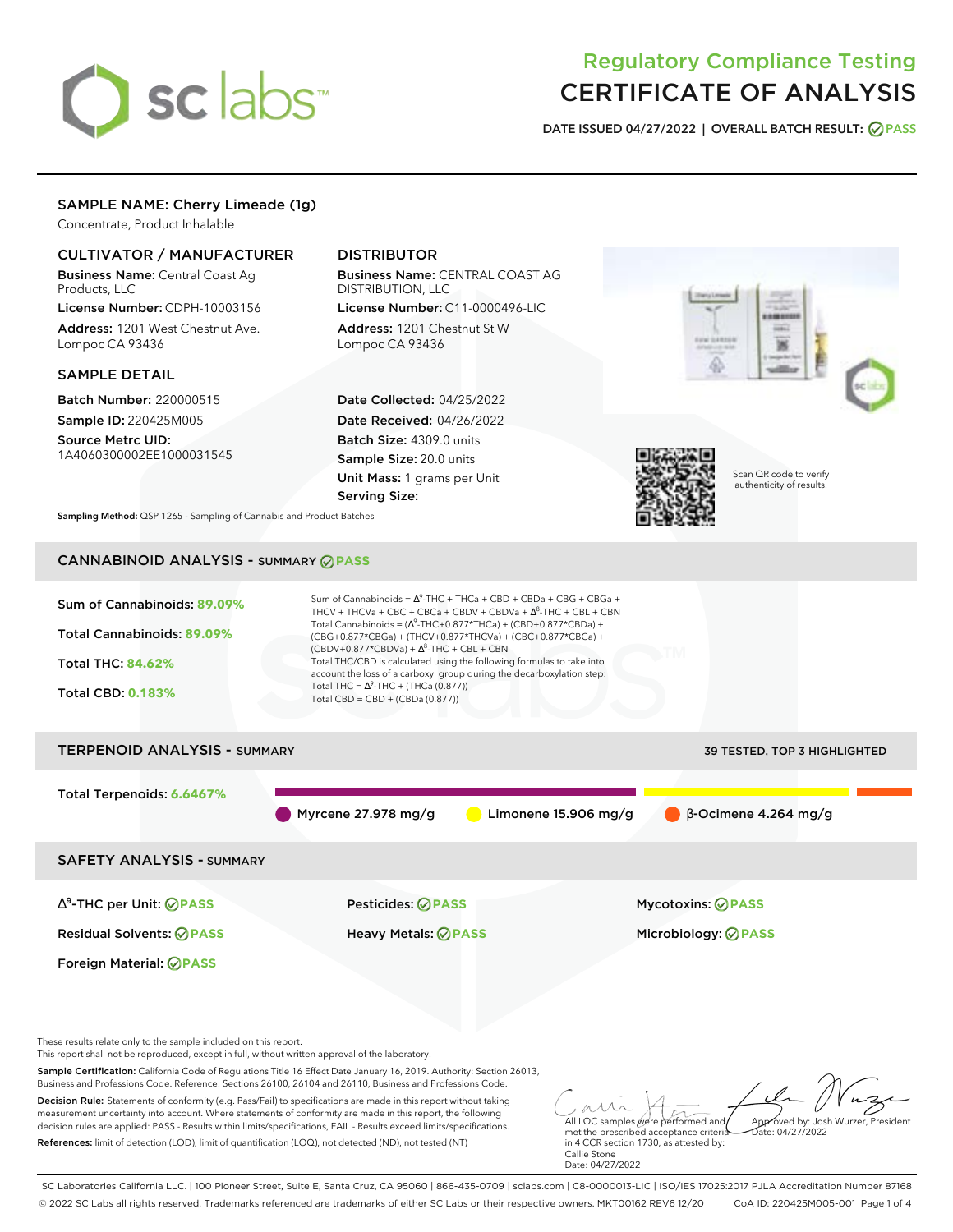

# Regulatory Compliance Testing CERTIFICATE OF ANALYSIS

**DATE ISSUED 04/27/2022 | OVERALL BATCH RESULT: PASS**

# SAMPLE NAME: Cherry Limeade (1g)

Concentrate, Product Inhalable

### CULTIVATOR / MANUFACTURER

Business Name: Central Coast Ag Products, LLC

License Number: CDPH-10003156 Address: 1201 West Chestnut Ave. Lompoc CA 93436

### SAMPLE DETAIL

Batch Number: 220000515 Sample ID: 220425M005 Source Metrc UID:

1A4060300002EE1000031545

# DISTRIBUTOR

Business Name: CENTRAL COAST AG DISTRIBUTION, LLC License Number: C11-0000496-LIC

Address: 1201 Chestnut St W Lompoc CA 93436

Date Collected: 04/25/2022 Date Received: 04/26/2022 Batch Size: 4309.0 units Sample Size: 20.0 units Unit Mass: 1 grams per Unit Serving Size:





Scan QR code to verify authenticity of results.

**Sampling Method:** QSP 1265 - Sampling of Cannabis and Product Batches

# CANNABINOID ANALYSIS - SUMMARY **PASS**

| Sum of Cannabinoids: 89.09%<br>Total Cannabinoids: 89.09%<br><b>Total THC: 84.62%</b><br><b>Total CBD: 0.183%</b> | Sum of Cannabinoids = $\Delta^9$ -THC + THCa + CBD + CBDa + CBG + CBGa +<br>THCV + THCVa + CBC + CBCa + CBDV + CBDVa + $\Delta^8$ -THC + CBL + CBN<br>Total Cannabinoids = $(\Delta^9$ -THC+0.877*THCa) + (CBD+0.877*CBDa) +<br>(CBG+0.877*CBGa) + (THCV+0.877*THCVa) + (CBC+0.877*CBCa) +<br>$(CBDV+0.877*CBDVa) + \Delta^8$ -THC + CBL + CBN<br>Total THC/CBD is calculated using the following formulas to take into<br>account the loss of a carboxyl group during the decarboxylation step:<br>Total THC = $\Delta^9$ -THC + (THCa (0.877))<br>Total CBD = CBD + (CBDa (0.877)) |                                                 |  |  |  |
|-------------------------------------------------------------------------------------------------------------------|--------------------------------------------------------------------------------------------------------------------------------------------------------------------------------------------------------------------------------------------------------------------------------------------------------------------------------------------------------------------------------------------------------------------------------------------------------------------------------------------------------------------------------------------------------------------------------------|-------------------------------------------------|--|--|--|
| <b>TERPENOID ANALYSIS - SUMMARY</b><br>39 TESTED, TOP 3 HIGHLIGHTED                                               |                                                                                                                                                                                                                                                                                                                                                                                                                                                                                                                                                                                      |                                                 |  |  |  |
| Total Terpenoids: 6.6467%                                                                                         | Myrcene $27.978$ mg/g<br>Limonene $15.906$ mg/g                                                                                                                                                                                                                                                                                                                                                                                                                                                                                                                                      | $\beta$ -Ocimene 4.264 mg/g                     |  |  |  |
| <b>SAFETY ANALYSIS - SUMMARY</b>                                                                                  |                                                                                                                                                                                                                                                                                                                                                                                                                                                                                                                                                                                      |                                                 |  |  |  |
| $\Delta^9$ -THC per Unit: $\oslash$ PASS<br><b>Residual Solvents: ⊘PASS</b>                                       | Pesticides: ⊘PASS<br><b>Heavy Metals: ⊘ PASS</b>                                                                                                                                                                                                                                                                                                                                                                                                                                                                                                                                     | Mycotoxins: ⊘PASS<br>Microbiology: <b>⊘PASS</b> |  |  |  |

These results relate only to the sample included on this report.

Foreign Material: **PASS**

This report shall not be reproduced, except in full, without written approval of the laboratory.

Sample Certification: California Code of Regulations Title 16 Effect Date January 16, 2019. Authority: Section 26013, Business and Professions Code. Reference: Sections 26100, 26104 and 26110, Business and Professions Code.

Decision Rule: Statements of conformity (e.g. Pass/Fail) to specifications are made in this report without taking measurement uncertainty into account. Where statements of conformity are made in this report, the following decision rules are applied: PASS - Results within limits/specifications, FAIL - Results exceed limits/specifications. References: limit of detection (LOD), limit of quantification (LOQ), not detected (ND), not tested (NT)

All LQC samples were performed and met the prescribed acceptance criteria Approved by: Josh Wurzer, President  $hat: 04/27/2022$ 

in 4 CCR section 1730, as attested by: Callie Stone Date: 04/27/2022

SC Laboratories California LLC. | 100 Pioneer Street, Suite E, Santa Cruz, CA 95060 | 866-435-0709 | sclabs.com | C8-0000013-LIC | ISO/IES 17025:2017 PJLA Accreditation Number 87168 © 2022 SC Labs all rights reserved. Trademarks referenced are trademarks of either SC Labs or their respective owners. MKT00162 REV6 12/20 CoA ID: 220425M005-001 Page 1 of 4